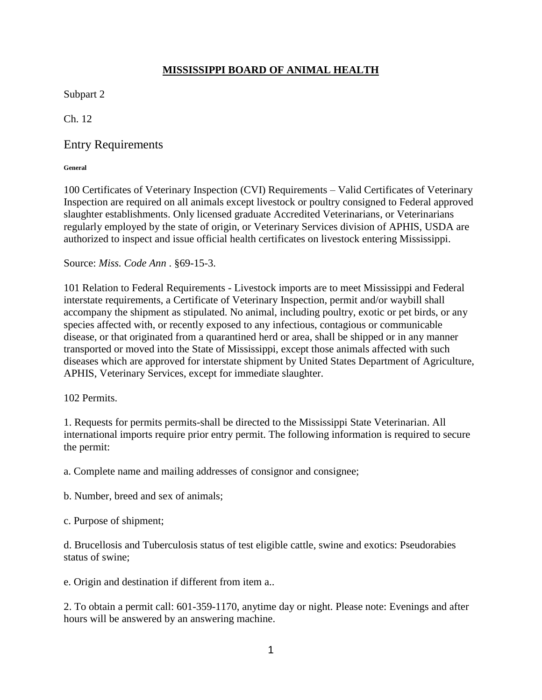## **MISSISSIPPI BOARD OF ANIMAL HEALTH**

Subpart 2

Ch. 12

# Entry Requirements

**General** 

100 Certificates of Veterinary Inspection (CVI) Requirements – Valid Certificates of Veterinary Inspection are required on all animals except livestock or poultry consigned to Federal approved slaughter establishments. Only licensed graduate Accredited Veterinarians, or Veterinarians regularly employed by the state of origin, or Veterinary Services division of APHIS, USDA are authorized to inspect and issue official health certificates on livestock entering Mississippi.

Source: *Miss. Code Ann* . §69-15-3.

101 Relation to Federal Requirements - Livestock imports are to meet Mississippi and Federal interstate requirements, a Certificate of Veterinary Inspection, permit and/or waybill shall accompany the shipment as stipulated. No animal, including poultry, exotic or pet birds, or any species affected with, or recently exposed to any infectious, contagious or communicable disease, or that originated from a quarantined herd or area, shall be shipped or in any manner transported or moved into the State of Mississippi, except those animals affected with such diseases which are approved for interstate shipment by United States Department of Agriculture, APHIS, Veterinary Services, except for immediate slaughter.

102 Permits.

1. Requests for permits permits-shall be directed to the Mississippi State Veterinarian. All international imports require prior entry permit. The following information is required to secure the permit:

a. Complete name and mailing addresses of consignor and consignee;

b. Number, breed and sex of animals;

c. Purpose of shipment;

d. Brucellosis and Tuberculosis status of test eligible cattle, swine and exotics: Pseudorabies status of swine;

e. Origin and destination if different from item a..

2. To obtain a permit call: 601-359-1170, anytime day or night. Please note: Evenings and after hours will be answered by an answering machine.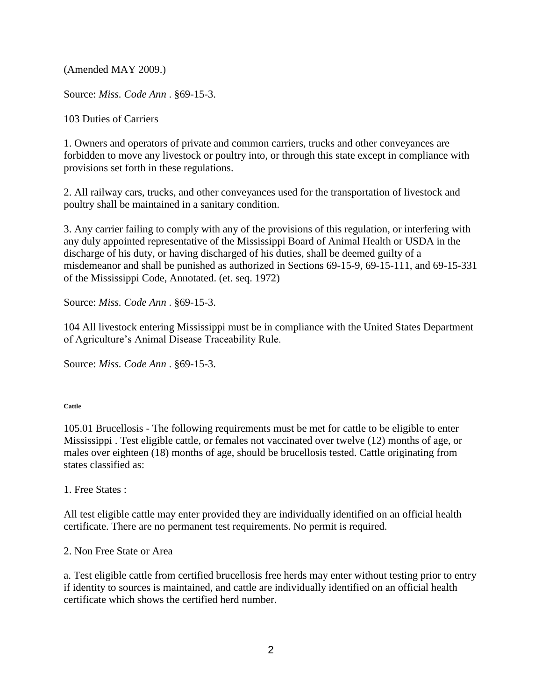(Amended MAY 2009.)

Source: *Miss. Code Ann* . §69-15-3.

103 Duties of Carriers

1. Owners and operators of private and common carriers, trucks and other conveyances are forbidden to move any livestock or poultry into, or through this state except in compliance with provisions set forth in these regulations.

2. All railway cars, trucks, and other conveyances used for the transportation of livestock and poultry shall be maintained in a sanitary condition.

3. Any carrier failing to comply with any of the provisions of this regulation, or interfering with any duly appointed representative of the Mississippi Board of Animal Health or USDA in the discharge of his duty, or having discharged of his duties, shall be deemed guilty of a misdemeanor and shall be punished as authorized in Sections 69-15-9, 69-15-111, and 69-15-331 of the Mississippi Code, Annotated. (et. seq. 1972)

Source: *Miss. Code Ann* . §69-15-3.

104 All livestock entering Mississippi must be in compliance with the United States Department of Agriculture's Animal Disease Traceability Rule.

Source: *Miss. Code Ann* . §69-15-3.

**Cattle** 

105.01 Brucellosis - The following requirements must be met for cattle to be eligible to enter Mississippi . Test eligible cattle, or females not vaccinated over twelve (12) months of age, or males over eighteen (18) months of age, should be brucellosis tested. Cattle originating from states classified as:

1. Free States :

All test eligible cattle may enter provided they are individually identified on an official health certificate. There are no permanent test requirements. No permit is required.

2. Non Free State or Area

a. Test eligible cattle from certified brucellosis free herds may enter without testing prior to entry if identity to sources is maintained, and cattle are individually identified on an official health certificate which shows the certified herd number.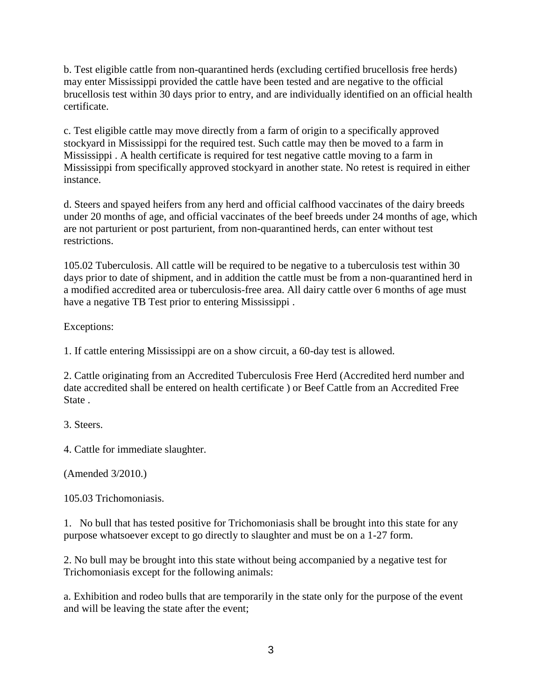b. Test eligible cattle from non-quarantined herds (excluding certified brucellosis free herds) may enter Mississippi provided the cattle have been tested and are negative to the official brucellosis test within 30 days prior to entry, and are individually identified on an official health certificate.

c. Test eligible cattle may move directly from a farm of origin to a specifically approved stockyard in Mississippi for the required test. Such cattle may then be moved to a farm in Mississippi . A health certificate is required for test negative cattle moving to a farm in Mississippi from specifically approved stockyard in another state. No retest is required in either instance.

d. Steers and spayed heifers from any herd and official calfhood vaccinates of the dairy breeds under 20 months of age, and official vaccinates of the beef breeds under 24 months of age, which are not parturient or post parturient, from non-quarantined herds, can enter without test restrictions.

105.02 Tuberculosis. All cattle will be required to be negative to a tuberculosis test within 30 days prior to date of shipment, and in addition the cattle must be from a non-quarantined herd in a modified accredited area or tuberculosis-free area. All dairy cattle over 6 months of age must have a negative TB Test prior to entering Mississippi .

Exceptions:

1. If cattle entering Mississippi are on a show circuit, a 60-day test is allowed.

2. Cattle originating from an Accredited Tuberculosis Free Herd (Accredited herd number and date accredited shall be entered on health certificate ) or Beef Cattle from an Accredited Free State .

3. Steers.

4. Cattle for immediate slaughter.

(Amended 3/2010.)

105.03 Trichomoniasis.

1. No bull that has tested positive for Trichomoniasis shall be brought into this state for any purpose whatsoever except to go directly to slaughter and must be on a 1-27 form.

2. No bull may be brought into this state without being accompanied by a negative test for Trichomoniasis except for the following animals:

a. Exhibition and rodeo bulls that are temporarily in the state only for the purpose of the event and will be leaving the state after the event;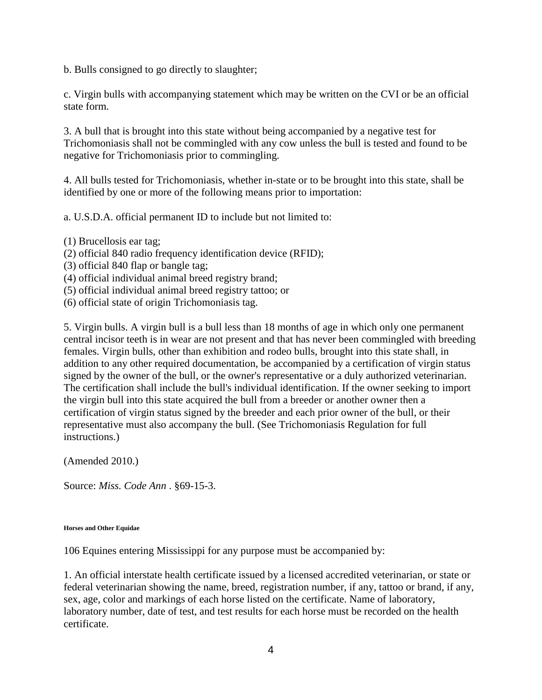b. Bulls consigned to go directly to slaughter;

c. Virgin bulls with accompanying statement which may be written on the CVI or be an official state form.

3. A bull that is brought into this state without being accompanied by a negative test for Trichomoniasis shall not be commingled with any cow unless the bull is tested and found to be negative for Trichomoniasis prior to commingling.

4. All bulls tested for Trichomoniasis, whether in-state or to be brought into this state, shall be identified by one or more of the following means prior to importation:

a. U.S.D.A. official permanent ID to include but not limited to:

- (1) Brucellosis ear tag;
- (2) official 840 radio frequency identification device (RFID);
- (3) official 840 flap or bangle tag;
- (4) official individual animal breed registry brand;
- (5) official individual animal breed registry tattoo; or
- (6) official state of origin Trichomoniasis tag.

5. Virgin bulls. A virgin bull is a bull less than 18 months of age in which only one permanent central incisor teeth is in wear are not present and that has never been commingled with breeding females. Virgin bulls, other than exhibition and rodeo bulls, brought into this state shall, in addition to any other required documentation, be accompanied by a certification of virgin status signed by the owner of the bull, or the owner's representative or a duly authorized veterinarian. The certification shall include the bull's individual identification. If the owner seeking to import the virgin bull into this state acquired the bull from a breeder or another owner then a certification of virgin status signed by the breeder and each prior owner of the bull, or their representative must also accompany the bull. (See Trichomoniasis Regulation for full instructions.)

(Amended 2010.)

Source: *Miss. Code Ann* . §69-15-3.

### **Horses and Other Equidae**

106 Equines entering Mississippi for any purpose must be accompanied by:

1. An official interstate health certificate issued by a licensed accredited veterinarian, or state or federal veterinarian showing the name, breed, registration number, if any, tattoo or brand, if any, sex, age, color and markings of each horse listed on the certificate. Name of laboratory, laboratory number, date of test, and test results for each horse must be recorded on the health certificate.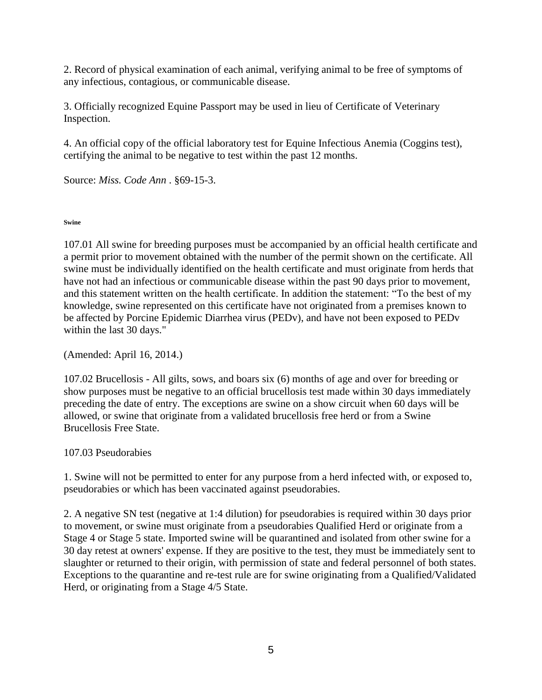2. Record of physical examination of each animal, verifying animal to be free of symptoms of any infectious, contagious, or communicable disease.

3. Officially recognized Equine Passport may be used in lieu of Certificate of Veterinary Inspection.

4. An official copy of the official laboratory test for Equine Infectious Anemia (Coggins test), certifying the animal to be negative to test within the past 12 months.

Source: *Miss. Code Ann* . §69-15-3.

## **Swine**

107.01 All swine for breeding purposes must be accompanied by an official health certificate and a permit prior to movement obtained with the number of the permit shown on the certificate. All swine must be individually identified on the health certificate and must originate from herds that have not had an infectious or communicable disease within the past 90 days prior to movement, and this statement written on the health certificate. In addition the statement: "To the best of my knowledge, swine represented on this certificate have not originated from a premises known to be affected by Porcine Epidemic Diarrhea virus (PEDv), and have not been exposed to PEDv within the last 30 days."

(Amended: April 16, 2014.)

107.02 Brucellosis - All gilts, sows, and boars six (6) months of age and over for breeding or show purposes must be negative to an official brucellosis test made within 30 days immediately preceding the date of entry. The exceptions are swine on a show circuit when 60 days will be allowed, or swine that originate from a validated brucellosis free herd or from a Swine Brucellosis Free State.

## 107.03 Pseudorabies

1. Swine will not be permitted to enter for any purpose from a herd infected with, or exposed to, pseudorabies or which has been vaccinated against pseudorabies.

2. A negative SN test (negative at 1:4 dilution) for pseudorabies is required within 30 days prior to movement, or swine must originate from a pseudorabies Qualified Herd or originate from a Stage 4 or Stage 5 state. Imported swine will be quarantined and isolated from other swine for a 30 day retest at owners' expense. If they are positive to the test, they must be immediately sent to slaughter or returned to their origin, with permission of state and federal personnel of both states. Exceptions to the quarantine and re-test rule are for swine originating from a Qualified/Validated Herd, or originating from a Stage 4/5 State.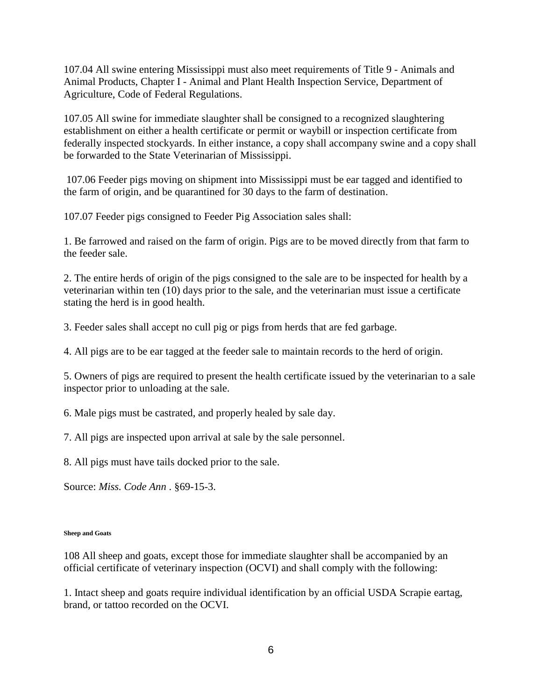107.04 All swine entering Mississippi must also meet requirements of Title 9 - Animals and Animal Products, Chapter I - Animal and Plant Health Inspection Service, Department of Agriculture, Code of Federal Regulations.

107.05 All swine for immediate slaughter shall be consigned to a recognized slaughtering establishment on either a health certificate or permit or waybill or inspection certificate from federally inspected stockyards. In either instance, a copy shall accompany swine and a copy shall be forwarded to the State Veterinarian of Mississippi.

107.06 Feeder pigs moving on shipment into Mississippi must be ear tagged and identified to the farm of origin, and be quarantined for 30 days to the farm of destination.

107.07 Feeder pigs consigned to Feeder Pig Association sales shall:

1. Be farrowed and raised on the farm of origin. Pigs are to be moved directly from that farm to the feeder sale.

2. The entire herds of origin of the pigs consigned to the sale are to be inspected for health by a veterinarian within ten (10) days prior to the sale, and the veterinarian must issue a certificate stating the herd is in good health.

3. Feeder sales shall accept no cull pig or pigs from herds that are fed garbage.

4. All pigs are to be ear tagged at the feeder sale to maintain records to the herd of origin.

5. Owners of pigs are required to present the health certificate issued by the veterinarian to a sale inspector prior to unloading at the sale.

6. Male pigs must be castrated, and properly healed by sale day.

7. All pigs are inspected upon arrival at sale by the sale personnel.

8. All pigs must have tails docked prior to the sale.

Source: *Miss. Code Ann* . §69-15-3.

### **Sheep and Goats**

108 All sheep and goats, except those for immediate slaughter shall be accompanied by an official certificate of veterinary inspection (OCVI) and shall comply with the following:

1. Intact sheep and goats require individual identification by an official USDA Scrapie eartag, brand, or tattoo recorded on the OCVI.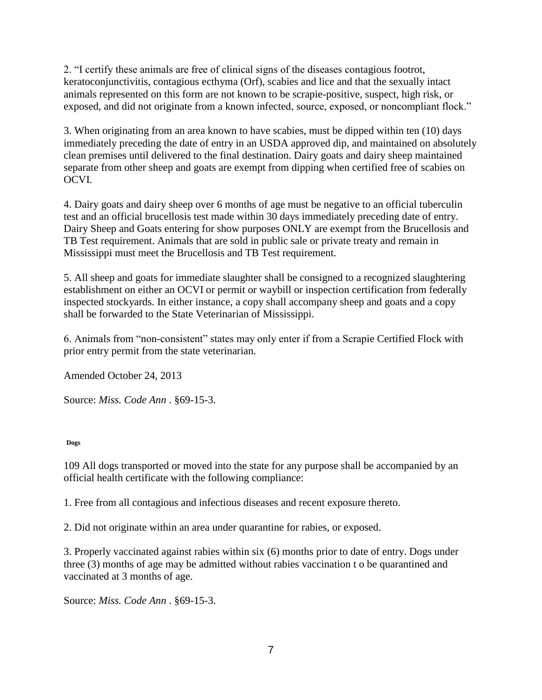2. "I certify these animals are free of clinical signs of the diseases contagious footrot, keratoconjunctivitis, contagious ecthyma (Orf), scabies and lice and that the sexually intact animals represented on this form are not known to be scrapie-positive, suspect, high risk, or exposed, and did not originate from a known infected, source, exposed, or noncompliant flock."

3. When originating from an area known to have scabies, must be dipped within ten (10) days immediately preceding the date of entry in an USDA approved dip, and maintained on absolutely clean premises until delivered to the final destination. Dairy goats and dairy sheep maintained separate from other sheep and goats are exempt from dipping when certified free of scabies on OCVI.

4. Dairy goats and dairy sheep over 6 months of age must be negative to an official tuberculin test and an official brucellosis test made within 30 days immediately preceding date of entry. Dairy Sheep and Goats entering for show purposes ONLY are exempt from the Brucellosis and TB Test requirement. Animals that are sold in public sale or private treaty and remain in Mississippi must meet the Brucellosis and TB Test requirement.

5. All sheep and goats for immediate slaughter shall be consigned to a recognized slaughtering establishment on either an OCVI or permit or waybill or inspection certification from federally inspected stockyards. In either instance, a copy shall accompany sheep and goats and a copy shall be forwarded to the State Veterinarian of Mississippi.

6. Animals from "non-consistent" states may only enter if from a Scrapie Certified Flock with prior entry permit from the state veterinarian.

Amended October 24, 2013

Source: *Miss. Code Ann* . §69-15-3.

**Dogs** 

109 All dogs transported or moved into the state for any purpose shall be accompanied by an official health certificate with the following compliance:

1. Free from all contagious and infectious diseases and recent exposure thereto.

2. Did not originate within an area under quarantine for rabies, or exposed.

3. Properly vaccinated against rabies within six (6) months prior to date of entry. Dogs under three (3) months of age may be admitted without rabies vaccination t o be quarantined and vaccinated at 3 months of age.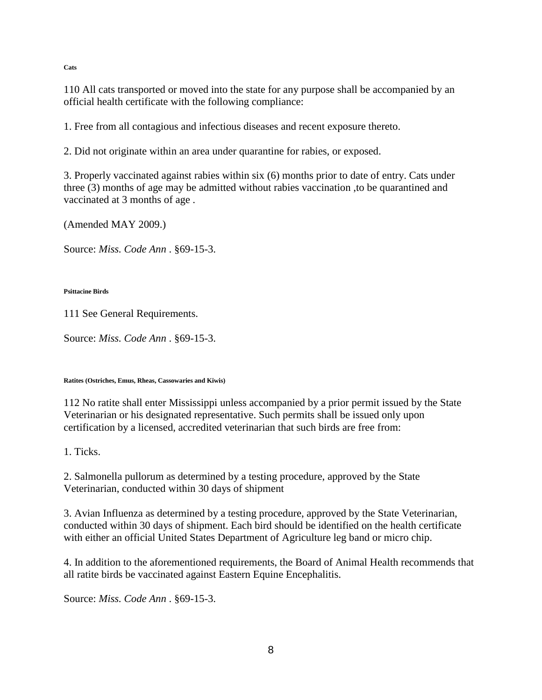**Cats** 

110 All cats transported or moved into the state for any purpose shall be accompanied by an official health certificate with the following compliance:

1. Free from all contagious and infectious diseases and recent exposure thereto.

2. Did not originate within an area under quarantine for rabies, or exposed.

3. Properly vaccinated against rabies within six (6) months prior to date of entry. Cats under three (3) months of age may be admitted without rabies vaccination ,to be quarantined and vaccinated at 3 months of age .

(Amended MAY 2009.)

Source: *Miss. Code Ann* . §69-15-3.

### **Psittacine Birds**

111 See General Requirements.

Source: *Miss. Code Ann* . §69-15-3.

### **Ratites (Ostriches, Emus, Rheas, Cassowaries and Kiwis)**

112 No ratite shall enter Mississippi unless accompanied by a prior permit issued by the State Veterinarian or his designated representative. Such permits shall be issued only upon certification by a licensed, accredited veterinarian that such birds are free from:

1. Ticks.

2. Salmonella pullorum as determined by a testing procedure, approved by the State Veterinarian, conducted within 30 days of shipment

3. Avian Influenza as determined by a testing procedure, approved by the State Veterinarian, conducted within 30 days of shipment. Each bird should be identified on the health certificate with either an official United States Department of Agriculture leg band or micro chip.

4. In addition to the aforementioned requirements, the Board of Animal Health recommends that all ratite birds be vaccinated against Eastern Equine Encephalitis.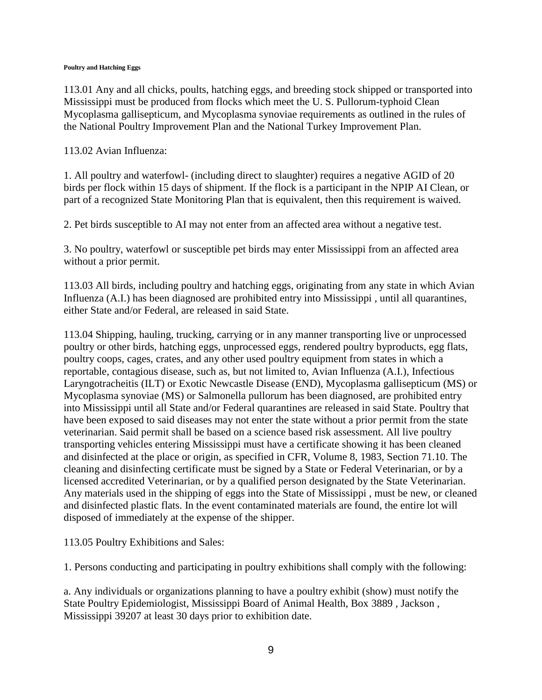### **Poultry and Hatching Eggs**

113.01 Any and all chicks, poults, hatching eggs, and breeding stock shipped or transported into Mississippi must be produced from flocks which meet the U. S. Pullorum-typhoid Clean Mycoplasma gallisepticum, and Mycoplasma synoviae requirements as outlined in the rules of the National Poultry Improvement Plan and the National Turkey Improvement Plan.

113.02 Avian Influenza:

1. All poultry and waterfowl- (including direct to slaughter) requires a negative AGID of 20 birds per flock within 15 days of shipment. If the flock is a participant in the NPIP AI Clean, or part of a recognized State Monitoring Plan that is equivalent, then this requirement is waived.

2. Pet birds susceptible to AI may not enter from an affected area without a negative test.

3. No poultry, waterfowl or susceptible pet birds may enter Mississippi from an affected area without a prior permit.

113.03 All birds, including poultry and hatching eggs, originating from any state in which Avian Influenza (A.I.) has been diagnosed are prohibited entry into Mississippi , until all quarantines, either State and/or Federal, are released in said State.

113.04 Shipping, hauling, trucking, carrying or in any manner transporting live or unprocessed poultry or other birds, hatching eggs, unprocessed eggs, rendered poultry byproducts, egg flats, poultry coops, cages, crates, and any other used poultry equipment from states in which a reportable, contagious disease, such as, but not limited to, Avian Influenza (A.I.), Infectious Laryngotracheitis (ILT) or Exotic Newcastle Disease (END), Mycoplasma gallisepticum (MS) or Mycoplasma synoviae (MS) or Salmonella pullorum has been diagnosed, are prohibited entry into Mississippi until all State and/or Federal quarantines are released in said State. Poultry that have been exposed to said diseases may not enter the state without a prior permit from the state veterinarian. Said permit shall be based on a science based risk assessment. All live poultry transporting vehicles entering Mississippi must have a certificate showing it has been cleaned and disinfected at the place or origin, as specified in CFR, Volume 8, 1983, Section 71.10. The cleaning and disinfecting certificate must be signed by a State or Federal Veterinarian, or by a licensed accredited Veterinarian, or by a qualified person designated by the State Veterinarian. Any materials used in the shipping of eggs into the State of Mississippi , must be new, or cleaned and disinfected plastic flats. In the event contaminated materials are found, the entire lot will disposed of immediately at the expense of the shipper.

113.05 Poultry Exhibitions and Sales:

1. Persons conducting and participating in poultry exhibitions shall comply with the following:

a. Any individuals or organizations planning to have a poultry exhibit (show) must notify the State Poultry Epidemiologist, Mississippi Board of Animal Health, Box 3889 , Jackson , Mississippi 39207 at least 30 days prior to exhibition date.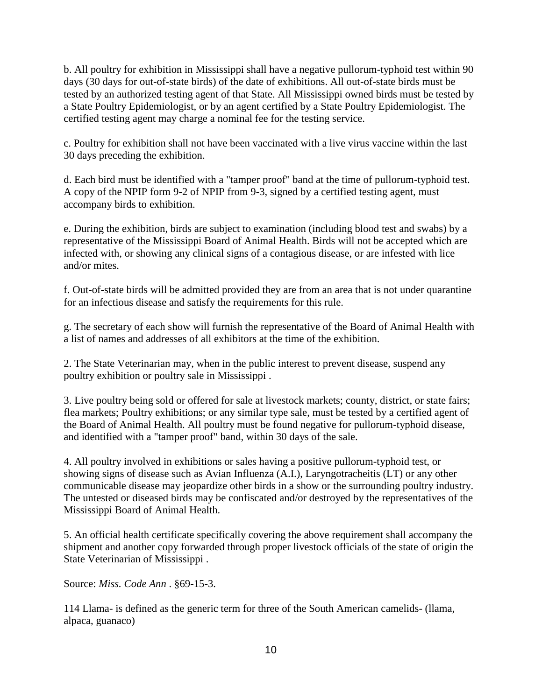b. All poultry for exhibition in Mississippi shall have a negative pullorum-typhoid test within 90 days (30 days for out-of-state birds) of the date of exhibitions. All out-of-state birds must be tested by an authorized testing agent of that State. All Mississippi owned birds must be tested by a State Poultry Epidemiologist, or by an agent certified by a State Poultry Epidemiologist. The certified testing agent may charge a nominal fee for the testing service.

c. Poultry for exhibition shall not have been vaccinated with a live virus vaccine within the last 30 days preceding the exhibition.

d. Each bird must be identified with a "tamper proof" band at the time of pullorum-typhoid test. A copy of the NPIP form 9-2 of NPIP from 9-3, signed by a certified testing agent, must accompany birds to exhibition.

e. During the exhibition, birds are subject to examination (including blood test and swabs) by a representative of the Mississippi Board of Animal Health. Birds will not be accepted which are infected with, or showing any clinical signs of a contagious disease, or are infested with lice and/or mites.

f. Out-of-state birds will be admitted provided they are from an area that is not under quarantine for an infectious disease and satisfy the requirements for this rule.

g. The secretary of each show will furnish the representative of the Board of Animal Health with a list of names and addresses of all exhibitors at the time of the exhibition.

2. The State Veterinarian may, when in the public interest to prevent disease, suspend any poultry exhibition or poultry sale in Mississippi .

3. Live poultry being sold or offered for sale at livestock markets; county, district, or state fairs; flea markets; Poultry exhibitions; or any similar type sale, must be tested by a certified agent of the Board of Animal Health. All poultry must be found negative for pullorum-typhoid disease, and identified with a "tamper proof" band, within 30 days of the sale.

4. All poultry involved in exhibitions or sales having a positive pullorum-typhoid test, or showing signs of disease such as Avian Influenza (A.I.), Laryngotracheitis (LT) or any other communicable disease may jeopardize other birds in a show or the surrounding poultry industry. The untested or diseased birds may be confiscated and/or destroyed by the representatives of the Mississippi Board of Animal Health.

5. An official health certificate specifically covering the above requirement shall accompany the shipment and another copy forwarded through proper livestock officials of the state of origin the State Veterinarian of Mississippi .

Source: *Miss. Code Ann* . §69-15-3.

114 Llama- is defined as the generic term for three of the South American camelids- (llama, alpaca, guanaco)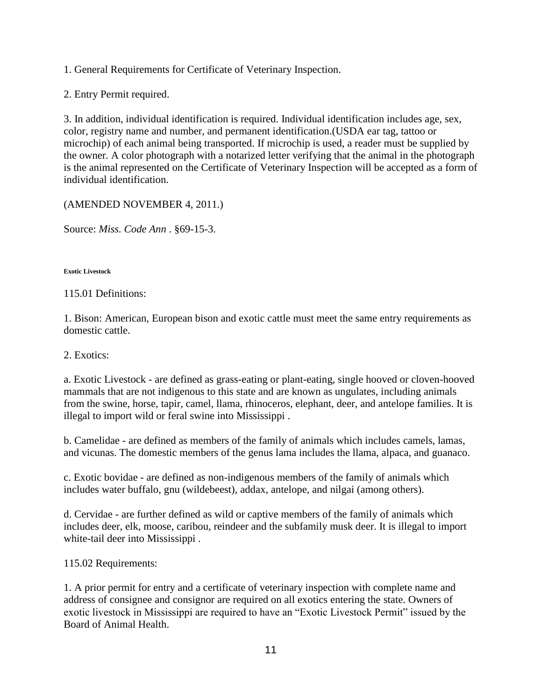1. General Requirements for Certificate of Veterinary Inspection.

2. Entry Permit required.

3. In addition, individual identification is required. Individual identification includes age, sex, color, registry name and number, and permanent identification.(USDA ear tag, tattoo or microchip) of each animal being transported. If microchip is used, a reader must be supplied by the owner. A color photograph with a notarized letter verifying that the animal in the photograph is the animal represented on the Certificate of Veterinary Inspection will be accepted as a form of individual identification.

(AMENDED NOVEMBER 4, 2011.)

Source: *Miss. Code Ann* . §69-15-3.

**Exotic Livestock** 

115.01 Definitions:

1. Bison: American, European bison and exotic cattle must meet the same entry requirements as domestic cattle.

2. Exotics:

a. Exotic Livestock - are defined as grass-eating or plant-eating, single hooved or cloven-hooved mammals that are not indigenous to this state and are known as ungulates, including animals from the swine, horse, tapir, camel, llama, rhinoceros, elephant, deer, and antelope families. It is illegal to import wild or feral swine into Mississippi .

b. Camelidae - are defined as members of the family of animals which includes camels, lamas, and vicunas. The domestic members of the genus lama includes the llama, alpaca, and guanaco.

c. Exotic bovidae - are defined as non-indigenous members of the family of animals which includes water buffalo, gnu (wildebeest), addax, antelope, and nilgai (among others).

d. Cervidae - are further defined as wild or captive members of the family of animals which includes deer, elk, moose, caribou, reindeer and the subfamily musk deer. It is illegal to import white-tail deer into Mississippi .

115.02 Requirements:

1. A prior permit for entry and a certificate of veterinary inspection with complete name and address of consignee and consignor are required on all exotics entering the state. Owners of exotic livestock in Mississippi are required to have an "Exotic Livestock Permit" issued by the Board of Animal Health.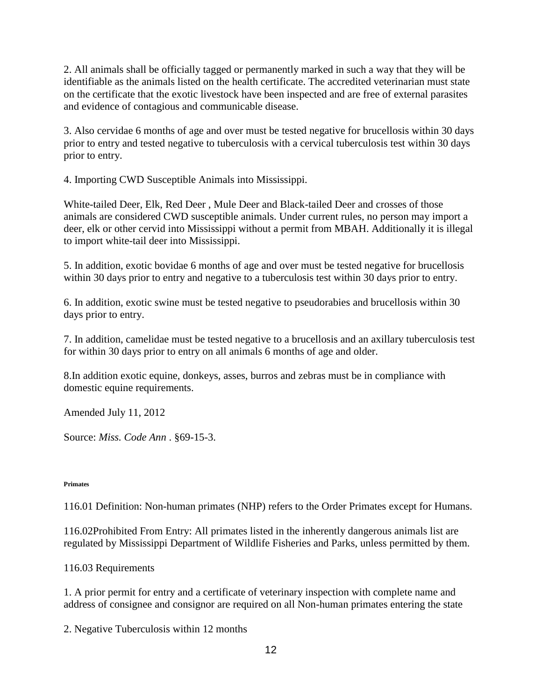2. All animals shall be officially tagged or permanently marked in such a way that they will be identifiable as the animals listed on the health certificate. The accredited veterinarian must state on the certificate that the exotic livestock have been inspected and are free of external parasites and evidence of contagious and communicable disease.

3. Also cervidae 6 months of age and over must be tested negative for brucellosis within 30 days prior to entry and tested negative to tuberculosis with a cervical tuberculosis test within 30 days prior to entry.

4. Importing CWD Susceptible Animals into Mississippi.

White-tailed Deer, Elk, Red Deer , Mule Deer and Black-tailed Deer and crosses of those animals are considered CWD susceptible animals. Under current rules, no person may import a deer, elk or other cervid into Mississippi without a permit from MBAH. Additionally it is illegal to import white-tail deer into Mississippi.

5. In addition, exotic bovidae 6 months of age and over must be tested negative for brucellosis within 30 days prior to entry and negative to a tuberculosis test within 30 days prior to entry.

6. In addition, exotic swine must be tested negative to pseudorabies and brucellosis within 30 days prior to entry.

7. In addition, camelidae must be tested negative to a brucellosis and an axillary tuberculosis test for within 30 days prior to entry on all animals 6 months of age and older.

8.In addition exotic equine, donkeys, asses, burros and zebras must be in compliance with domestic equine requirements.

Amended July 11, 2012

Source: *Miss. Code Ann* . §69-15-3.

### **Primates**

116.01 Definition: Non-human primates (NHP) refers to the Order Primates except for Humans.

116.02Prohibited From Entry: All primates listed in the inherently dangerous animals list are regulated by Mississippi Department of Wildlife Fisheries and Parks, unless permitted by them.

## 116.03 Requirements

1. A prior permit for entry and a certificate of veterinary inspection with complete name and address of consignee and consignor are required on all Non-human primates entering the state

2. Negative Tuberculosis within 12 months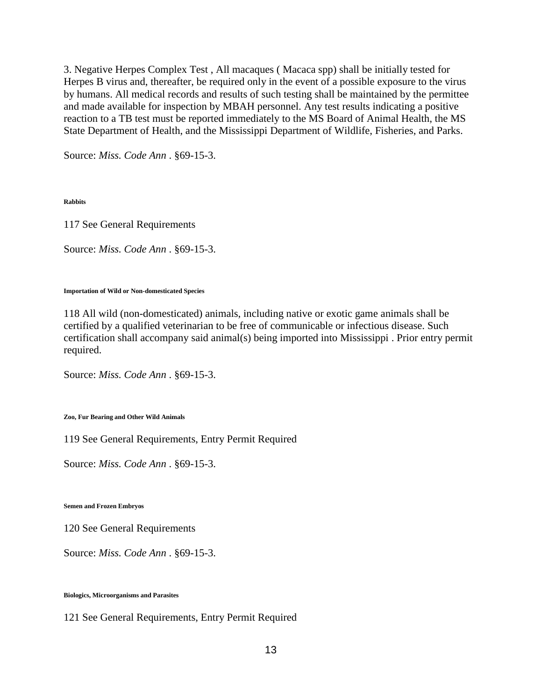3. Negative Herpes Complex Test , All macaques ( Macaca spp) shall be initially tested for Herpes B virus and, thereafter, be required only in the event of a possible exposure to the virus by humans. All medical records and results of such testing shall be maintained by the permittee and made available for inspection by MBAH personnel. Any test results indicating a positive reaction to a TB test must be reported immediately to the MS Board of Animal Health, the MS State Department of Health, and the Mississippi Department of Wildlife, Fisheries, and Parks.

Source: *Miss. Code Ann* . §69-15-3.

**Rabbits** 

117 See General Requirements

Source: *Miss. Code Ann* . §69-15-3.

#### **Importation of Wild or Non-domesticated Species**

118 All wild (non-domesticated) animals, including native or exotic game animals shall be certified by a qualified veterinarian to be free of communicable or infectious disease. Such certification shall accompany said animal(s) being imported into Mississippi . Prior entry permit required.

Source: *Miss. Code Ann* . §69-15-3.

**Zoo, Fur Bearing and Other Wild Animals** 

119 See General Requirements, Entry Permit Required

Source: *Miss. Code Ann* . §69-15-3.

**Semen and Frozen Embryos** 

120 See General Requirements

Source: *Miss. Code Ann* . §69-15-3.

**Biologics, Microorganisms and Parasites** 

121 See General Requirements, Entry Permit Required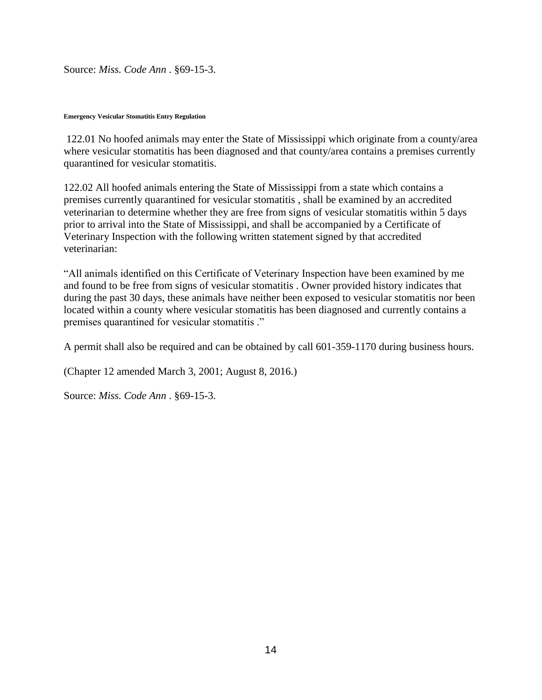Source: *Miss. Code Ann* . §69-15-3.

#### **Emergency Vesicular Stomatitis Entry Regulation**

122.01 No hoofed animals may enter the State of Mississippi which originate from a county/area where vesicular stomatitis has been diagnosed and that county/area contains a premises currently quarantined for vesicular stomatitis.

122.02 All hoofed animals entering the State of Mississippi from a state which contains a premises currently quarantined for vesicular stomatitis , shall be examined by an accredited veterinarian to determine whether they are free from signs of vesicular stomatitis within 5 days prior to arrival into the State of Mississippi, and shall be accompanied by a Certificate of Veterinary Inspection with the following written statement signed by that accredited veterinarian:

"All animals identified on this Certificate of Veterinary Inspection have been examined by me and found to be free from signs of vesicular stomatitis . Owner provided history indicates that during the past 30 days, these animals have neither been exposed to vesicular stomatitis nor been located within a county where vesicular stomatitis has been diagnosed and currently contains a premises quarantined for vesicular stomatitis ."

A permit shall also be required and can be obtained by call 601-359-1170 during business hours.

(Chapter 12 amended March 3, 2001; August 8, 2016.)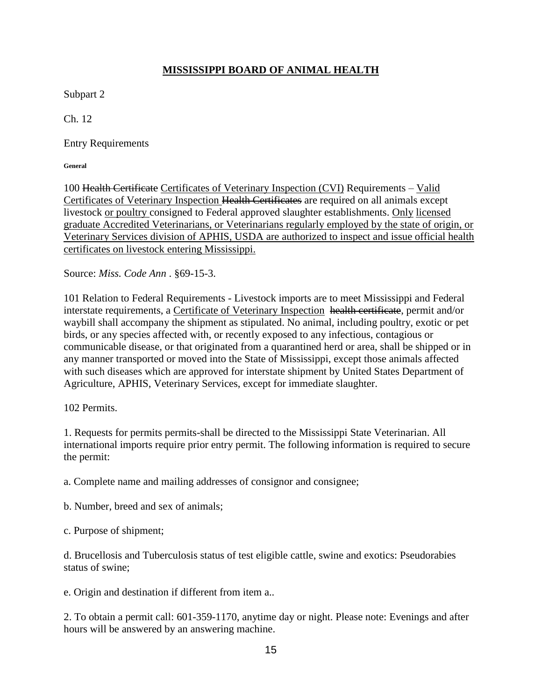# **MISSISSIPPI BOARD OF ANIMAL HEALTH**

Subpart 2

Ch. 12

Entry Requirements

**General** 

100 Health Certificate Certificates of Veterinary Inspection (CVI) Requirements – Valid Certificates of Veterinary Inspection Health Certificates are required on all animals except livestock or poultry consigned to Federal approved slaughter establishments. Only licensed graduate Accredited Veterinarians, or Veterinarians regularly employed by the state of origin, or Veterinary Services division of APHIS, USDA are authorized to inspect and issue official health certificates on livestock entering Mississippi.

Source: *Miss. Code Ann* . §69-15-3.

101 Relation to Federal Requirements - Livestock imports are to meet Mississippi and Federal interstate requirements, a Certificate of Veterinary Inspection health certificate, permit and/or waybill shall accompany the shipment as stipulated. No animal, including poultry, exotic or pet birds, or any species affected with, or recently exposed to any infectious, contagious or communicable disease, or that originated from a quarantined herd or area, shall be shipped or in any manner transported or moved into the State of Mississippi, except those animals affected with such diseases which are approved for interstate shipment by United States Department of Agriculture, APHIS, Veterinary Services, except for immediate slaughter.

102 Permits.

1. Requests for permits permits-shall be directed to the Mississippi State Veterinarian. All international imports require prior entry permit. The following information is required to secure the permit:

a. Complete name and mailing addresses of consignor and consignee;

b. Number, breed and sex of animals;

c. Purpose of shipment;

d. Brucellosis and Tuberculosis status of test eligible cattle, swine and exotics: Pseudorabies status of swine;

e. Origin and destination if different from item a..

2. To obtain a permit call: 601-359-1170, anytime day or night. Please note: Evenings and after hours will be answered by an answering machine.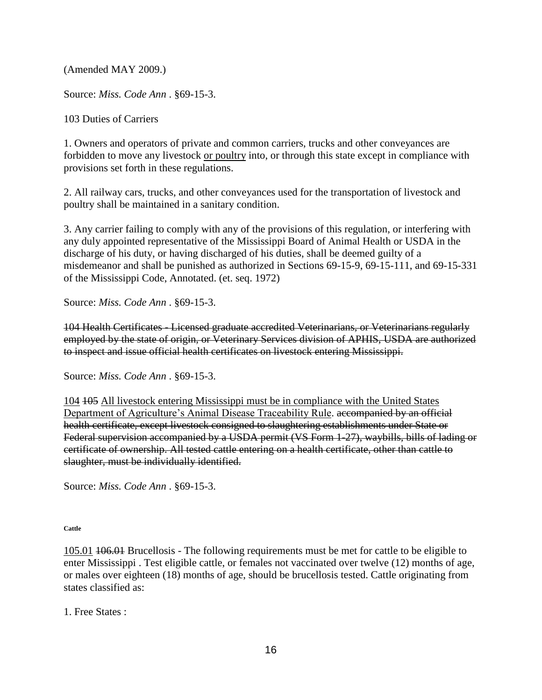(Amended MAY 2009.)

Source: *Miss. Code Ann* . §69-15-3.

103 Duties of Carriers

1. Owners and operators of private and common carriers, trucks and other conveyances are forbidden to move any livestock or poultry into, or through this state except in compliance with provisions set forth in these regulations.

2. All railway cars, trucks, and other conveyances used for the transportation of livestock and poultry shall be maintained in a sanitary condition.

3. Any carrier failing to comply with any of the provisions of this regulation, or interfering with any duly appointed representative of the Mississippi Board of Animal Health or USDA in the discharge of his duty, or having discharged of his duties, shall be deemed guilty of a misdemeanor and shall be punished as authorized in Sections 69-15-9, 69-15-111, and 69-15-331 of the Mississippi Code, Annotated. (et. seq. 1972)

Source: *Miss. Code Ann* . §69-15-3.

104 Health Certificates - Licensed graduate accredited Veterinarians, or Veterinarians regularly employed by the state of origin, or Veterinary Services division of APHIS, USDA are authorized to inspect and issue official health certificates on livestock entering Mississippi.

Source: *Miss. Code Ann* . §69-15-3.

104 105 All livestock entering Mississippi must be in compliance with the United States Department of Agriculture's Animal Disease Traceability Rule. accompanied by an official health certificate, except livestock consigned to slaughtering establishments under State or Federal supervision accompanied by a USDA permit (VS Form 1-27), waybills, bills of lading or certificate of ownership. All tested cattle entering on a health certificate, other than cattle to slaughter, must be individually identified.

Source: *Miss. Code Ann* . §69-15-3.

**Cattle** 

105.01 106.01 Brucellosis - The following requirements must be met for cattle to be eligible to enter Mississippi . Test eligible cattle, or females not vaccinated over twelve (12) months of age, or males over eighteen (18) months of age, should be brucellosis tested. Cattle originating from states classified as:

1. Free States :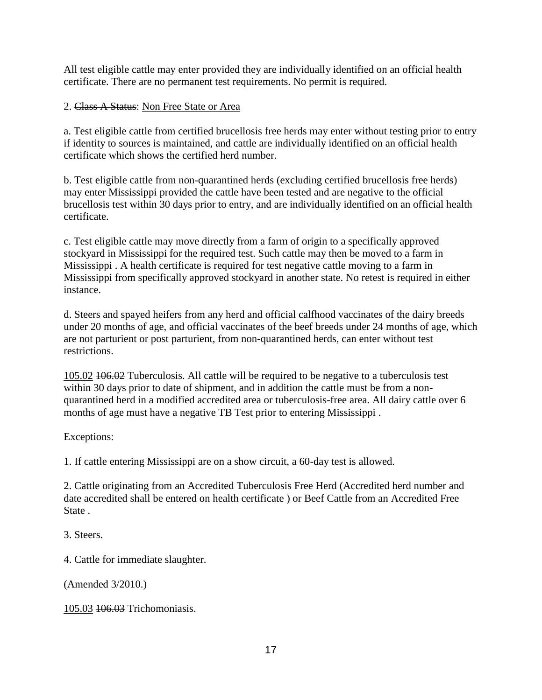All test eligible cattle may enter provided they are individually identified on an official health certificate. There are no permanent test requirements. No permit is required.

# 2. Class A Status: Non Free State or Area

a. Test eligible cattle from certified brucellosis free herds may enter without testing prior to entry if identity to sources is maintained, and cattle are individually identified on an official health certificate which shows the certified herd number.

b. Test eligible cattle from non-quarantined herds (excluding certified brucellosis free herds) may enter Mississippi provided the cattle have been tested and are negative to the official brucellosis test within 30 days prior to entry, and are individually identified on an official health certificate.

c. Test eligible cattle may move directly from a farm of origin to a specifically approved stockyard in Mississippi for the required test. Such cattle may then be moved to a farm in Mississippi . A health certificate is required for test negative cattle moving to a farm in Mississippi from specifically approved stockyard in another state. No retest is required in either instance.

d. Steers and spayed heifers from any herd and official calfhood vaccinates of the dairy breeds under 20 months of age, and official vaccinates of the beef breeds under 24 months of age, which are not parturient or post parturient, from non-quarantined herds, can enter without test restrictions.

105.02 106.02 Tuberculosis. All cattle will be required to be negative to a tuberculosis test within 30 days prior to date of shipment, and in addition the cattle must be from a nonquarantined herd in a modified accredited area or tuberculosis-free area. All dairy cattle over 6 months of age must have a negative TB Test prior to entering Mississippi .

## Exceptions:

1. If cattle entering Mississippi are on a show circuit, a 60-day test is allowed.

2. Cattle originating from an Accredited Tuberculosis Free Herd (Accredited herd number and date accredited shall be entered on health certificate ) or Beef Cattle from an Accredited Free State .

3. Steers.

4. Cattle for immediate slaughter.

(Amended 3/2010.)

105.03 106.03 Trichomoniasis.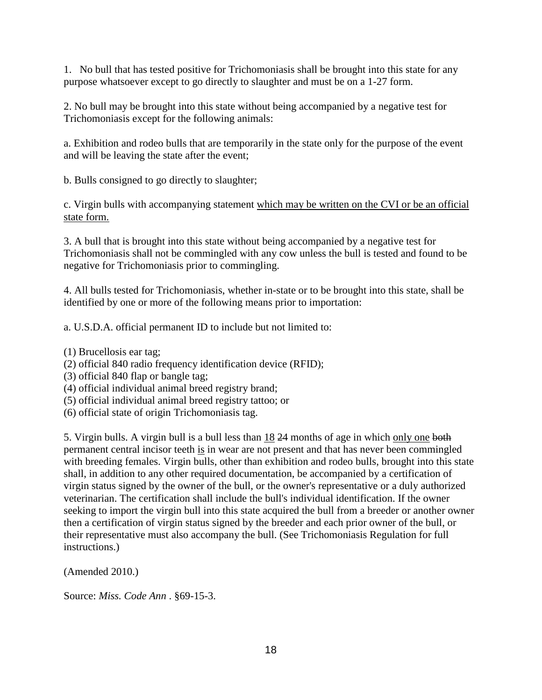1. No bull that has tested positive for Trichomoniasis shall be brought into this state for any purpose whatsoever except to go directly to slaughter and must be on a 1-27 form.

2. No bull may be brought into this state without being accompanied by a negative test for Trichomoniasis except for the following animals:

a. Exhibition and rodeo bulls that are temporarily in the state only for the purpose of the event and will be leaving the state after the event;

b. Bulls consigned to go directly to slaughter;

c. Virgin bulls with accompanying statement which may be written on the CVI or be an official state form.

3. A bull that is brought into this state without being accompanied by a negative test for Trichomoniasis shall not be commingled with any cow unless the bull is tested and found to be negative for Trichomoniasis prior to commingling.

4. All bulls tested for Trichomoniasis, whether in-state or to be brought into this state, shall be identified by one or more of the following means prior to importation:

a. U.S.D.A. official permanent ID to include but not limited to:

(1) Brucellosis ear tag;

- (2) official 840 radio frequency identification device (RFID);
- (3) official 840 flap or bangle tag;
- (4) official individual animal breed registry brand;
- (5) official individual animal breed registry tattoo; or
- (6) official state of origin Trichomoniasis tag.

5. Virgin bulls. A virgin bull is a bull less than  $18\,24$  months of age in which only one both permanent central incisor teeth is in wear are not present and that has never been commingled with breeding females. Virgin bulls, other than exhibition and rodeo bulls, brought into this state shall, in addition to any other required documentation, be accompanied by a certification of virgin status signed by the owner of the bull, or the owner's representative or a duly authorized veterinarian. The certification shall include the bull's individual identification. If the owner seeking to import the virgin bull into this state acquired the bull from a breeder or another owner then a certification of virgin status signed by the breeder and each prior owner of the bull, or their representative must also accompany the bull. (See Trichomoniasis Regulation for full instructions.)

(Amended 2010.)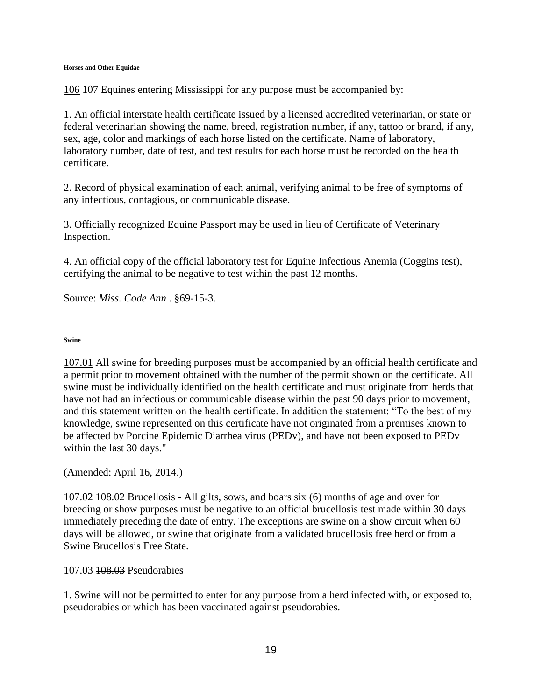#### **Horses and Other Equidae**

106 107 Equines entering Mississippi for any purpose must be accompanied by:

1. An official interstate health certificate issued by a licensed accredited veterinarian, or state or federal veterinarian showing the name, breed, registration number, if any, tattoo or brand, if any, sex, age, color and markings of each horse listed on the certificate. Name of laboratory, laboratory number, date of test, and test results for each horse must be recorded on the health certificate.

2. Record of physical examination of each animal, verifying animal to be free of symptoms of any infectious, contagious, or communicable disease.

3. Officially recognized Equine Passport may be used in lieu of Certificate of Veterinary Inspection.

4. An official copy of the official laboratory test for Equine Infectious Anemia (Coggins test), certifying the animal to be negative to test within the past 12 months.

Source: *Miss. Code Ann* . §69-15-3.

### **Swine**

107.01 All swine for breeding purposes must be accompanied by an official health certificate and a permit prior to movement obtained with the number of the permit shown on the certificate. All swine must be individually identified on the health certificate and must originate from herds that have not had an infectious or communicable disease within the past 90 days prior to movement, and this statement written on the health certificate. In addition the statement: "To the best of my knowledge, swine represented on this certificate have not originated from a premises known to be affected by Porcine Epidemic Diarrhea virus (PEDv), and have not been exposed to PEDv within the last 30 days."

(Amended: April 16, 2014.)

107.02 108.02 Brucellosis - All gilts, sows, and boars six (6) months of age and over for breeding or show purposes must be negative to an official brucellosis test made within 30 days immediately preceding the date of entry. The exceptions are swine on a show circuit when 60 days will be allowed, or swine that originate from a validated brucellosis free herd or from a Swine Brucellosis Free State.

### 107.03 108.03 Pseudorabies

1. Swine will not be permitted to enter for any purpose from a herd infected with, or exposed to, pseudorabies or which has been vaccinated against pseudorabies.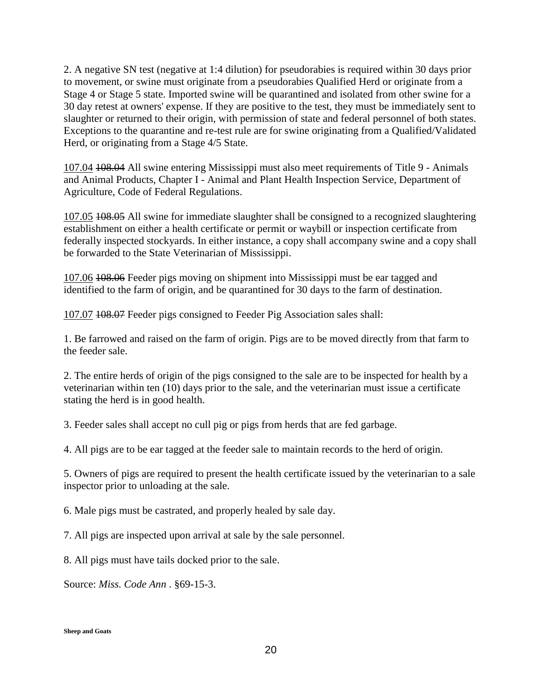2. A negative SN test (negative at 1:4 dilution) for pseudorabies is required within 30 days prior to movement, or swine must originate from a pseudorabies Qualified Herd or originate from a Stage 4 or Stage 5 state. Imported swine will be quarantined and isolated from other swine for a 30 day retest at owners' expense. If they are positive to the test, they must be immediately sent to slaughter or returned to their origin, with permission of state and federal personnel of both states. Exceptions to the quarantine and re-test rule are for swine originating from a Qualified/Validated Herd, or originating from a Stage 4/5 State.

107.04 108.04 All swine entering Mississippi must also meet requirements of Title 9 - Animals and Animal Products, Chapter I - Animal and Plant Health Inspection Service, Department of Agriculture, Code of Federal Regulations.

107.05 108.05 All swine for immediate slaughter shall be consigned to a recognized slaughtering establishment on either a health certificate or permit or waybill or inspection certificate from federally inspected stockyards. In either instance, a copy shall accompany swine and a copy shall be forwarded to the State Veterinarian of Mississippi.

107.06 108.06 Feeder pigs moving on shipment into Mississippi must be ear tagged and identified to the farm of origin, and be quarantined for 30 days to the farm of destination.

107.07 108.07 Feeder pigs consigned to Feeder Pig Association sales shall:

1. Be farrowed and raised on the farm of origin. Pigs are to be moved directly from that farm to the feeder sale.

2. The entire herds of origin of the pigs consigned to the sale are to be inspected for health by a veterinarian within ten (10) days prior to the sale, and the veterinarian must issue a certificate stating the herd is in good health.

3. Feeder sales shall accept no cull pig or pigs from herds that are fed garbage.

4. All pigs are to be ear tagged at the feeder sale to maintain records to the herd of origin.

5. Owners of pigs are required to present the health certificate issued by the veterinarian to a sale inspector prior to unloading at the sale.

6. Male pigs must be castrated, and properly healed by sale day.

7. All pigs are inspected upon arrival at sale by the sale personnel.

8. All pigs must have tails docked prior to the sale.

Source: *Miss. Code Ann* . §69-15-3.

**Sheep and Goats**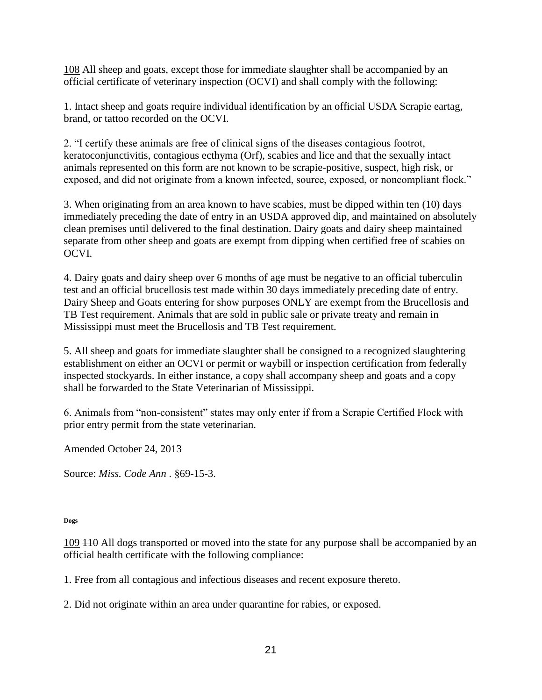108 All sheep and goats, except those for immediate slaughter shall be accompanied by an official certificate of veterinary inspection (OCVI) and shall comply with the following:

1. Intact sheep and goats require individual identification by an official USDA Scrapie eartag, brand, or tattoo recorded on the OCVI.

2. "I certify these animals are free of clinical signs of the diseases contagious footrot, keratoconjunctivitis, contagious ecthyma (Orf), scabies and lice and that the sexually intact animals represented on this form are not known to be scrapie-positive, suspect, high risk, or exposed, and did not originate from a known infected, source, exposed, or noncompliant flock."

3. When originating from an area known to have scabies, must be dipped within ten (10) days immediately preceding the date of entry in an USDA approved dip, and maintained on absolutely clean premises until delivered to the final destination. Dairy goats and dairy sheep maintained separate from other sheep and goats are exempt from dipping when certified free of scabies on OCVI.

4. Dairy goats and dairy sheep over 6 months of age must be negative to an official tuberculin test and an official brucellosis test made within 30 days immediately preceding date of entry. Dairy Sheep and Goats entering for show purposes ONLY are exempt from the Brucellosis and TB Test requirement. Animals that are sold in public sale or private treaty and remain in Mississippi must meet the Brucellosis and TB Test requirement.

5. All sheep and goats for immediate slaughter shall be consigned to a recognized slaughtering establishment on either an OCVI or permit or waybill or inspection certification from federally inspected stockyards. In either instance, a copy shall accompany sheep and goats and a copy shall be forwarded to the State Veterinarian of Mississippi.

6. Animals from "non-consistent" states may only enter if from a Scrapie Certified Flock with prior entry permit from the state veterinarian.

Amended October 24, 2013

Source: *Miss. Code Ann* . §69-15-3.

### **Dogs**

109 110 All dogs transported or moved into the state for any purpose shall be accompanied by an official health certificate with the following compliance:

1. Free from all contagious and infectious diseases and recent exposure thereto.

2. Did not originate within an area under quarantine for rabies, or exposed.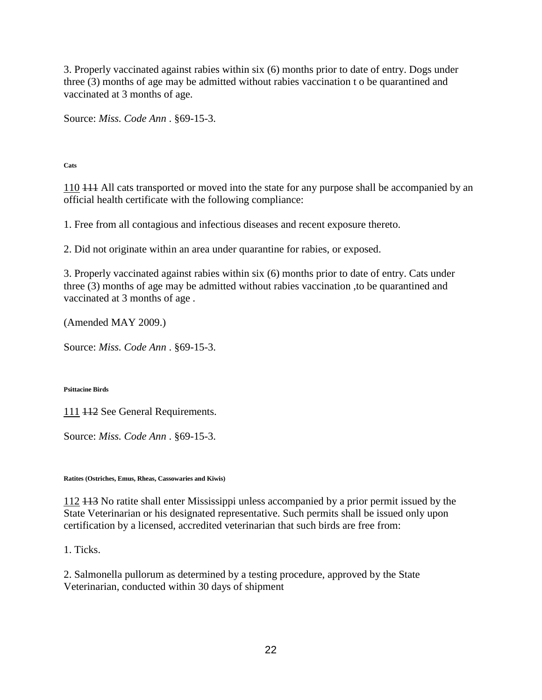3. Properly vaccinated against rabies within six (6) months prior to date of entry. Dogs under three (3) months of age may be admitted without rabies vaccination t o be quarantined and vaccinated at 3 months of age.

Source: *Miss. Code Ann* . §69-15-3.

**Cats** 

110 111 All cats transported or moved into the state for any purpose shall be accompanied by an official health certificate with the following compliance:

1. Free from all contagious and infectious diseases and recent exposure thereto.

2. Did not originate within an area under quarantine for rabies, or exposed.

3. Properly vaccinated against rabies within six (6) months prior to date of entry. Cats under three (3) months of age may be admitted without rabies vaccination ,to be quarantined and vaccinated at 3 months of age .

(Amended MAY 2009.)

Source: *Miss. Code Ann* . §69-15-3.

**Psittacine Birds** 

111 112 See General Requirements.

Source: *Miss. Code Ann* . §69-15-3.

**Ratites (Ostriches, Emus, Rheas, Cassowaries and Kiwis)** 

112 113 No ratite shall enter Mississippi unless accompanied by a prior permit issued by the State Veterinarian or his designated representative. Such permits shall be issued only upon certification by a licensed, accredited veterinarian that such birds are free from:

1. Ticks.

2. Salmonella pullorum as determined by a testing procedure, approved by the State Veterinarian, conducted within 30 days of shipment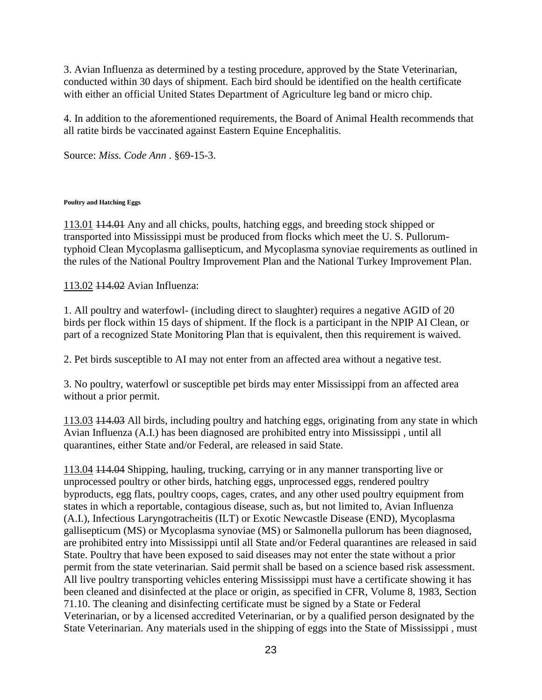3. Avian Influenza as determined by a testing procedure, approved by the State Veterinarian, conducted within 30 days of shipment. Each bird should be identified on the health certificate with either an official United States Department of Agriculture leg band or micro chip.

4. In addition to the aforementioned requirements, the Board of Animal Health recommends that all ratite birds be vaccinated against Eastern Equine Encephalitis.

Source: *Miss. Code Ann* . §69-15-3.

## **Poultry and Hatching Eggs**

113.01 114.01 Any and all chicks, poults, hatching eggs, and breeding stock shipped or transported into Mississippi must be produced from flocks which meet the U. S. Pullorumtyphoid Clean Mycoplasma gallisepticum, and Mycoplasma synoviae requirements as outlined in the rules of the National Poultry Improvement Plan and the National Turkey Improvement Plan.

113.02 114.02 Avian Influenza:

1. All poultry and waterfowl- (including direct to slaughter) requires a negative AGID of 20 birds per flock within 15 days of shipment. If the flock is a participant in the NPIP AI Clean, or part of a recognized State Monitoring Plan that is equivalent, then this requirement is waived.

2. Pet birds susceptible to AI may not enter from an affected area without a negative test.

3. No poultry, waterfowl or susceptible pet birds may enter Mississippi from an affected area without a prior permit.

113.03 114.03 All birds, including poultry and hatching eggs, originating from any state in which Avian Influenza (A.I.) has been diagnosed are prohibited entry into Mississippi , until all quarantines, either State and/or Federal, are released in said State.

113.04 114.04 Shipping, hauling, trucking, carrying or in any manner transporting live or unprocessed poultry or other birds, hatching eggs, unprocessed eggs, rendered poultry byproducts, egg flats, poultry coops, cages, crates, and any other used poultry equipment from states in which a reportable, contagious disease, such as, but not limited to, Avian Influenza (A.I.), Infectious Laryngotracheitis (ILT) or Exotic Newcastle Disease (END), Mycoplasma gallisepticum (MS) or Mycoplasma synoviae (MS) or Salmonella pullorum has been diagnosed, are prohibited entry into Mississippi until all State and/or Federal quarantines are released in said State. Poultry that have been exposed to said diseases may not enter the state without a prior permit from the state veterinarian. Said permit shall be based on a science based risk assessment. All live poultry transporting vehicles entering Mississippi must have a certificate showing it has been cleaned and disinfected at the place or origin, as specified in CFR, Volume 8, 1983, Section 71.10. The cleaning and disinfecting certificate must be signed by a State or Federal Veterinarian, or by a licensed accredited Veterinarian, or by a qualified person designated by the State Veterinarian. Any materials used in the shipping of eggs into the State of Mississippi , must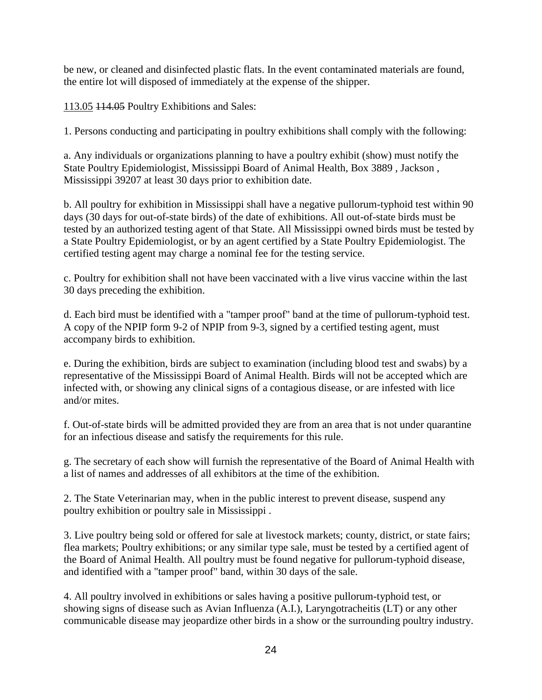be new, or cleaned and disinfected plastic flats. In the event contaminated materials are found, the entire lot will disposed of immediately at the expense of the shipper.

113.05 114.05 Poultry Exhibitions and Sales:

1. Persons conducting and participating in poultry exhibitions shall comply with the following:

a. Any individuals or organizations planning to have a poultry exhibit (show) must notify the State Poultry Epidemiologist, Mississippi Board of Animal Health, Box 3889 , Jackson , Mississippi 39207 at least 30 days prior to exhibition date.

b. All poultry for exhibition in Mississippi shall have a negative pullorum-typhoid test within 90 days (30 days for out-of-state birds) of the date of exhibitions. All out-of-state birds must be tested by an authorized testing agent of that State. All Mississippi owned birds must be tested by a State Poultry Epidemiologist, or by an agent certified by a State Poultry Epidemiologist. The certified testing agent may charge a nominal fee for the testing service.

c. Poultry for exhibition shall not have been vaccinated with a live virus vaccine within the last 30 days preceding the exhibition.

d. Each bird must be identified with a "tamper proof" band at the time of pullorum-typhoid test. A copy of the NPIP form 9-2 of NPIP from 9-3, signed by a certified testing agent, must accompany birds to exhibition.

e. During the exhibition, birds are subject to examination (including blood test and swabs) by a representative of the Mississippi Board of Animal Health. Birds will not be accepted which are infected with, or showing any clinical signs of a contagious disease, or are infested with lice and/or mites.

f. Out-of-state birds will be admitted provided they are from an area that is not under quarantine for an infectious disease and satisfy the requirements for this rule.

g. The secretary of each show will furnish the representative of the Board of Animal Health with a list of names and addresses of all exhibitors at the time of the exhibition.

2. The State Veterinarian may, when in the public interest to prevent disease, suspend any poultry exhibition or poultry sale in Mississippi .

3. Live poultry being sold or offered for sale at livestock markets; county, district, or state fairs; flea markets; Poultry exhibitions; or any similar type sale, must be tested by a certified agent of the Board of Animal Health. All poultry must be found negative for pullorum-typhoid disease, and identified with a "tamper proof" band, within 30 days of the sale.

4. All poultry involved in exhibitions or sales having a positive pullorum-typhoid test, or showing signs of disease such as Avian Influenza (A.I.), Laryngotracheitis (LT) or any other communicable disease may jeopardize other birds in a show or the surrounding poultry industry.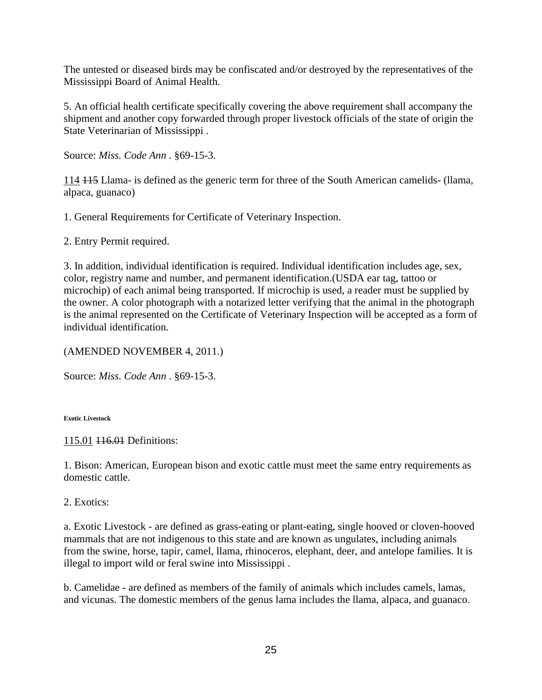The untested or diseased birds may be confiscated and/or destroyed by the representatives of the Mississippi Board of Animal Health.

5. An official health certificate specifically covering the above requirement shall accompany the shipment and another copy forwarded through proper livestock officials of the state of origin the State Veterinarian of Mississippi .

Source: *Miss. Code Ann* . §69-15-3.

114 115 Llama- is defined as the generic term for three of the South American camelids- (llama, alpaca, guanaco)

1. General Requirements for Certificate of Veterinary Inspection.

2. Entry Permit required.

3. In addition, individual identification is required. Individual identification includes age, sex, color, registry name and number, and permanent identification.(USDA ear tag, tattoo or microchip) of each animal being transported. If microchip is used, a reader must be supplied by the owner. A color photograph with a notarized letter verifying that the animal in the photograph is the animal represented on the Certificate of Veterinary Inspection will be accepted as a form of individual identification.

## (AMENDED NOVEMBER 4, 2011.)

Source: *Miss. Code Ann* . §69-15-3.

**Exotic Livestock** 

115.01 116.01 Definitions:

1. Bison: American, European bison and exotic cattle must meet the same entry requirements as domestic cattle.

2. Exotics:

a. Exotic Livestock - are defined as grass-eating or plant-eating, single hooved or cloven-hooved mammals that are not indigenous to this state and are known as ungulates, including animals from the swine, horse, tapir, camel, llama, rhinoceros, elephant, deer, and antelope families. It is illegal to import wild or feral swine into Mississippi .

b. Camelidae - are defined as members of the family of animals which includes camels, lamas, and vicunas. The domestic members of the genus lama includes the llama, alpaca, and guanaco.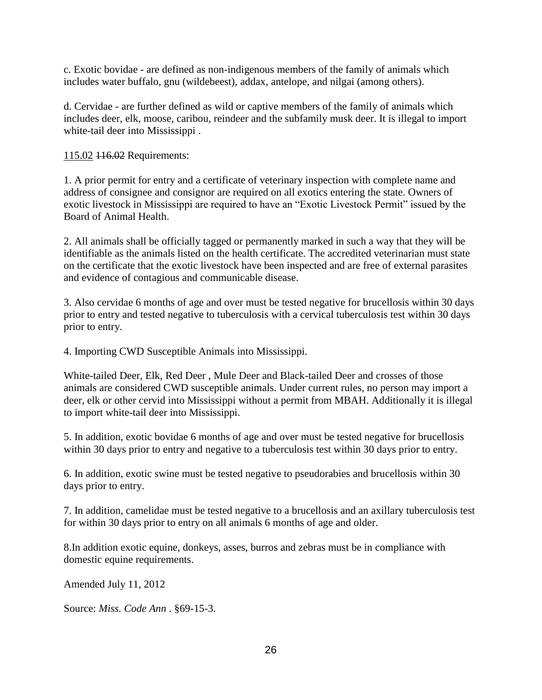c. Exotic bovidae - are defined as non-indigenous members of the family of animals which includes water buffalo, gnu (wildebeest), addax, antelope, and nilgai (among others).

d. Cervidae - are further defined as wild or captive members of the family of animals which includes deer, elk, moose, caribou, reindeer and the subfamily musk deer. It is illegal to import white-tail deer into Mississippi .

115.02 <del>116.02</del> Requirements:

1. A prior permit for entry and a certificate of veterinary inspection with complete name and address of consignee and consignor are required on all exotics entering the state. Owners of exotic livestock in Mississippi are required to have an "Exotic Livestock Permit" issued by the Board of Animal Health.

2. All animals shall be officially tagged or permanently marked in such a way that they will be identifiable as the animals listed on the health certificate. The accredited veterinarian must state on the certificate that the exotic livestock have been inspected and are free of external parasites and evidence of contagious and communicable disease.

3. Also cervidae 6 months of age and over must be tested negative for brucellosis within 30 days prior to entry and tested negative to tuberculosis with a cervical tuberculosis test within 30 days prior to entry.

4. Importing CWD Susceptible Animals into Mississippi.

White-tailed Deer, Elk, Red Deer , Mule Deer and Black-tailed Deer and crosses of those animals are considered CWD susceptible animals. Under current rules, no person may import a deer, elk or other cervid into Mississippi without a permit from MBAH. Additionally it is illegal to import white-tail deer into Mississippi.

5. In addition, exotic bovidae 6 months of age and over must be tested negative for brucellosis within 30 days prior to entry and negative to a tuberculosis test within 30 days prior to entry.

6. In addition, exotic swine must be tested negative to pseudorabies and brucellosis within 30 days prior to entry.

7. In addition, camelidae must be tested negative to a brucellosis and an axillary tuberculosis test for within 30 days prior to entry on all animals 6 months of age and older.

8.In addition exotic equine, donkeys, asses, burros and zebras must be in compliance with domestic equine requirements.

Amended July 11, 2012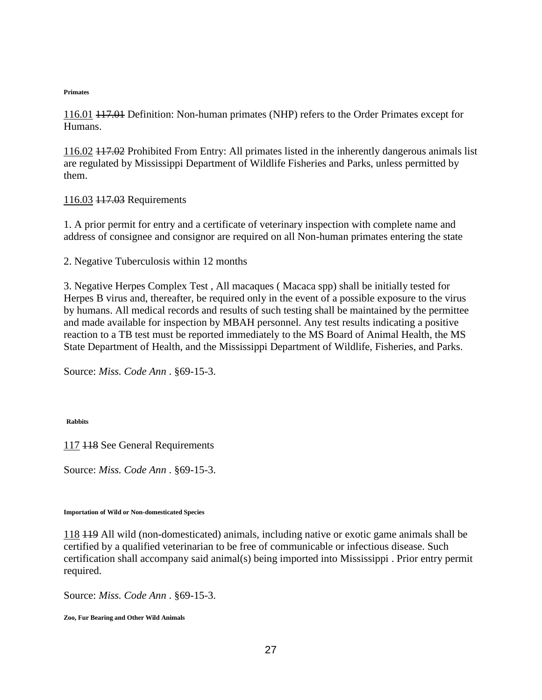#### **Primates**

116.01 117.01 Definition: Non-human primates (NHP) refers to the Order Primates except for Humans.

116.02 117.02 Prohibited From Entry: All primates listed in the inherently dangerous animals list are regulated by Mississippi Department of Wildlife Fisheries and Parks, unless permitted by them.

## 116.03 117.03 Requirements

1. A prior permit for entry and a certificate of veterinary inspection with complete name and address of consignee and consignor are required on all Non-human primates entering the state

2. Negative Tuberculosis within 12 months

3. Negative Herpes Complex Test , All macaques ( Macaca spp) shall be initially tested for Herpes B virus and, thereafter, be required only in the event of a possible exposure to the virus by humans. All medical records and results of such testing shall be maintained by the permittee and made available for inspection by MBAH personnel. Any test results indicating a positive reaction to a TB test must be reported immediately to the MS Board of Animal Health, the MS State Department of Health, and the Mississippi Department of Wildlife, Fisheries, and Parks.

Source: *Miss. Code Ann* . §69-15-3.

**Rabbits** 

117 118 See General Requirements

Source: *Miss. Code Ann* . §69-15-3.

**Importation of Wild or Non-domesticated Species** 

118 119 All wild (non-domesticated) animals, including native or exotic game animals shall be certified by a qualified veterinarian to be free of communicable or infectious disease. Such certification shall accompany said animal(s) being imported into Mississippi . Prior entry permit required.

Source: *Miss. Code Ann* . §69-15-3.

**Zoo, Fur Bearing and Other Wild Animals**